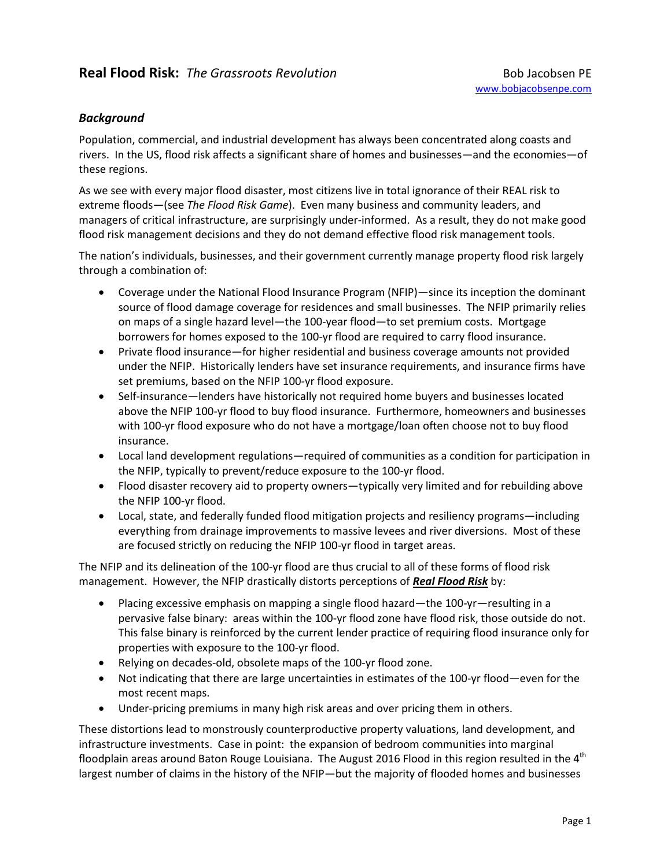## *Background*

Population, commercial, and industrial development has always been concentrated along coasts and rivers. In the US, flood risk affects a significant share of homes and businesses—and the economies—of these regions.

As we see with every major flood disaster, most citizens live in total ignorance of their REAL risk to extreme floods—(see *The Flood Risk Game*). Even many business and community leaders, and managers of critical infrastructure, are surprisingly under-informed. As a result, they do not make good flood risk management decisions and they do not demand effective flood risk management tools.

The nation's individuals, businesses, and their government currently manage property flood risk largely through a combination of:

- Coverage under the National Flood Insurance Program (NFIP)—since its inception the dominant source of flood damage coverage for residences and small businesses. The NFIP primarily relies on maps of a single hazard level—the 100-year flood—to set premium costs. Mortgage borrowers for homes exposed to the 100-yr flood are required to carry flood insurance.
- Private flood insurance—for higher residential and business coverage amounts not provided under the NFIP. Historically lenders have set insurance requirements, and insurance firms have set premiums, based on the NFIP 100-yr flood exposure.
- Self-insurance—lenders have historically not required home buyers and businesses located above the NFIP 100-yr flood to buy flood insurance. Furthermore, homeowners and businesses with 100-yr flood exposure who do not have a mortgage/loan often choose not to buy flood insurance.
- Local land development regulations—required of communities as a condition for participation in the NFIP, typically to prevent/reduce exposure to the 100-yr flood.
- Flood disaster recovery aid to property owners—typically very limited and for rebuilding above the NFIP 100-yr flood.
- Local, state, and federally funded flood mitigation projects and resiliency programs—including everything from drainage improvements to massive levees and river diversions. Most of these are focused strictly on reducing the NFIP 100-yr flood in target areas.

The NFIP and its delineation of the 100-yr flood are thus crucial to all of these forms of flood risk management. However, the NFIP drastically distorts perceptions of *Real Flood Risk* by:

- Placing excessive emphasis on mapping a single flood hazard—the 100-yr—resulting in a pervasive false binary: areas within the 100-yr flood zone have flood risk, those outside do not. This false binary is reinforced by the current lender practice of requiring flood insurance only for properties with exposure to the 100-yr flood.
- Relying on decades-old, obsolete maps of the 100-yr flood zone.
- Not indicating that there are large uncertainties in estimates of the 100-yr flood—even for the most recent maps.
- Under-pricing premiums in many high risk areas and over pricing them in others.

These distortions lead to monstrously counterproductive property valuations, land development, and infrastructure investments. Case in point: the expansion of bedroom communities into marginal floodplain areas around Baton Rouge Louisiana. The August 2016 Flood in this region resulted in the  $4<sup>th</sup>$ largest number of claims in the history of the NFIP—but the majority of flooded homes and businesses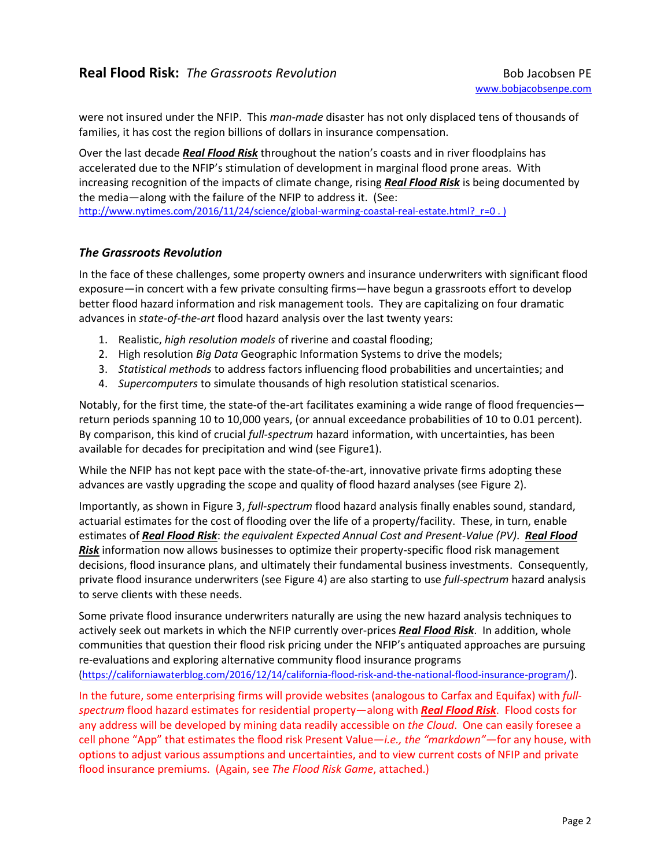were not insured under the NFIP. This *man-made* disaster has not only displaced tens of thousands of families, it has cost the region billions of dollars in insurance compensation.

Over the last decade *Real Flood Risk* throughout the nation's coasts and in river floodplains has accelerated due to the NFIP's stimulation of development in marginal flood prone areas. With increasing recognition of the impacts of climate change, rising *Real Flood Risk* is being documented by the media—along with the failure of the NFIP to address it. (See: http://www.nytimes.com/2016/11/24/science/global-warming-coastal-real-estate.html? r=0 . )

## *The Grassroots Revolution*

In the face of these challenges, some property owners and insurance underwriters with significant flood exposure—in concert with a few private consulting firms—have begun a grassroots effort to develop better flood hazard information and risk management tools. They are capitalizing on four dramatic advances in *state-of-the-art* flood hazard analysis over the last twenty years:

- 1. Realistic, *high resolution models* of riverine and coastal flooding;
- 2. High resolution *Big Data* Geographic Information Systems to drive the models;
- 3. *Statistical methods* to address factors influencing flood probabilities and uncertainties; and
- 4. *Supercomputers* to simulate thousands of high resolution statistical scenarios.

Notably, for the first time, the state-of the-art facilitates examining a wide range of flood frequencies return periods spanning 10 to 10,000 years, (or annual exceedance probabilities of 10 to 0.01 percent). By comparison, this kind of crucial *full-spectrum* hazard information, with uncertainties, has been available for decades for precipitation and wind (see Figure1).

While the NFIP has not kept pace with the state-of-the-art, innovative private firms adopting these advances are vastly upgrading the scope and quality of flood hazard analyses (see Figure 2).

Importantly, as shown in Figure 3, *full-spectrum* flood hazard analysis finally enables sound, standard, actuarial estimates for the cost of flooding over the life of a property/facility. These, in turn, enable estimates of *Real Flood Risk*: *the equivalent Expected Annual Cost and Present-Value (PV)*. *Real Flood Risk* information now allows businesses to optimize their property-specific flood risk management decisions, flood insurance plans, and ultimately their fundamental business investments. Consequently, private flood insurance underwriters (see Figure 4) are also starting to use *full-spectrum* hazard analysis to serve clients with these needs.

Some private flood insurance underwriters naturally are using the new hazard analysis techniques to actively seek out markets in which the NFIP currently over-prices *Real Flood Risk*. In addition, whole communities that question their flood risk pricing under the NFIP's antiquated approaches are pursuing re-evaluations and exploring alternative community flood insurance programs (https://californiawaterblog.com/2016/12/14/california-flood-risk-and-the-national-flood-insurance-program/).

In the future, some enterprising firms will provide websites (analogous to Carfax and Equifax) with *fullspectrum* flood hazard estimates for residential property—along with *Real Flood Risk*. Flood costs for any address will be developed by mining data readily accessible on *the Cloud*. One can easily foresee a cell phone "App" that estimates the flood risk Present Value*—i.e., the "markdown"—*for any house, with options to adjust various assumptions and uncertainties, and to view current costs of NFIP and private flood insurance premiums. (Again, see *The Flood Risk Game*, attached.)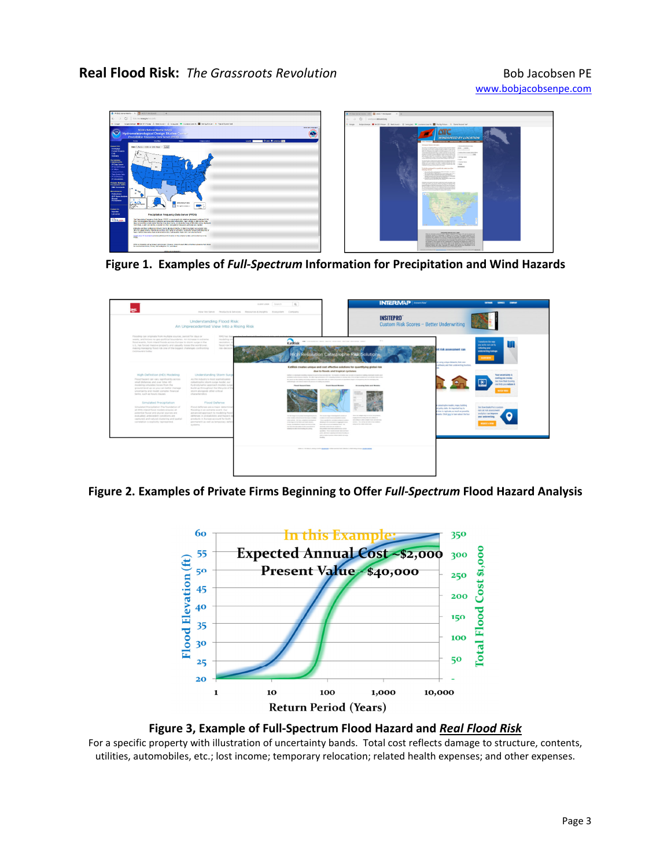

**Figure 1. Examples of** *Full-Spectrum* **Information for Precipitation and Wind Hazards** 



**Figure 2. Examples of Private Firms Beginning to Offer** *Full-Spectrum* **Flood Hazard Analysis** 



**Figure 3, Example of Full-Spectrum Flood Hazard and** *Real Flood Risk*

For a specific property with illustration of uncertainty bands. Total cost reflects damage to structure, contents, utilities, automobiles, etc.; lost income; temporary relocation; related health expenses; and other expenses.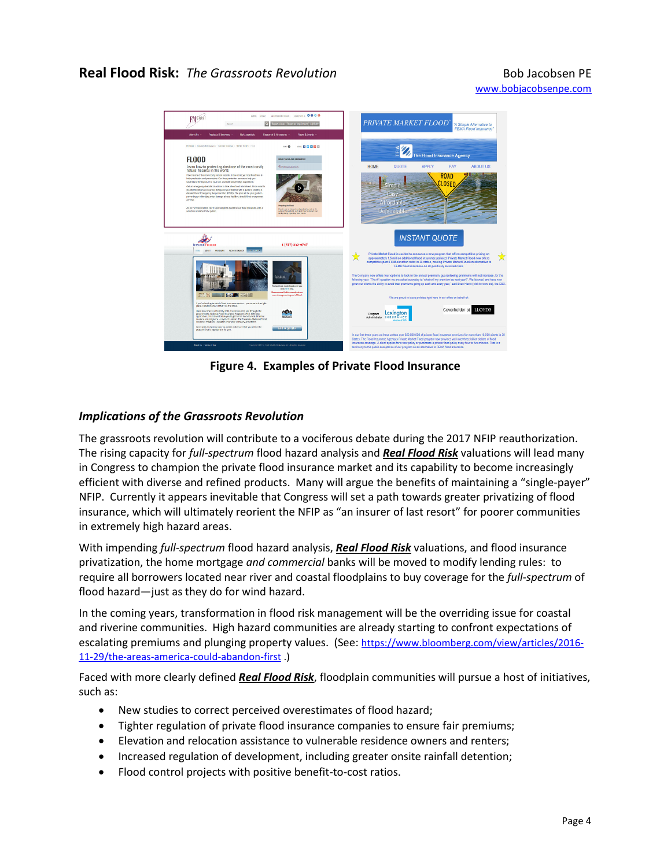## **Real Flood Risk:** The Grassroots Revolution **Bob Jacobsen PE Bob Jacobsen PE**



**Figure 4.****Examples of Private Flood Insurance** 

## *Implications of the Grassroots Revolution*

The grassroots revolution will contribute to a vociferous debate during the 2017 NFIP reauthorization. The rising capacity for *full-spectrum* flood hazard analysis and *Real Flood Risk* valuations will lead many in Congress to champion the private flood insurance market and its capability to become increasingly efficient with diverse and refined products. Many will argue the benefits of maintaining a "single-payer" NFIP. Currently it appears inevitable that Congress will set a path towards greater privatizing of flood insurance, which will ultimately reorient the NFIP as "an insurer of last resort" for poorer communities in extremely high hazard areas.

With impending *full-spectrum* flood hazard analysis, *Real Flood Risk* valuations, and flood insurance privatization, the home mortgage *and commercial* banks will be moved to modify lending rules: to require all borrowers located near river and coastal floodplains to buy coverage for the *full-spectrum* of flood hazard—just as they do for wind hazard.

In the coming years, transformation in flood risk management will be the overriding issue for coastal and riverine communities. High hazard communities are already starting to confront expectations of escalating premiums and plunging property values. (See: https://www.bloomberg.com/view/articles/2016-11-29/the-areas-america-could-abandon-first .)

Faced with more clearly defined *Real Flood Risk*, floodplain communities will pursue a host of initiatives, such as:

- New studies to correct perceived overestimates of flood hazard;
- Tighter regulation of private flood insurance companies to ensure fair premiums;
- Elevation and relocation assistance to vulnerable residence owners and renters;
- Increased regulation of development, including greater onsite rainfall detention;
- Flood control projects with positive benefit-to-cost ratios.